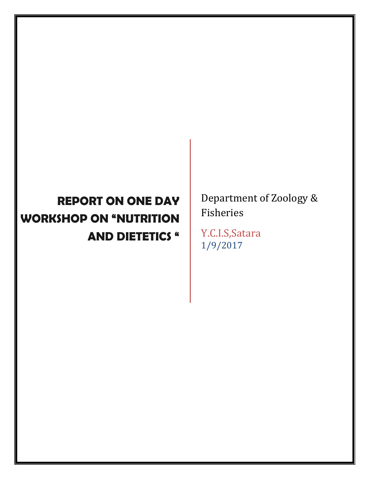## **REPORT ON ONE DAY WORKSHOP ON "NUTRITION AND DIETETICS "**

Department of Zoology & Fisheries

Y.C.I.S,Satara 1/9/2017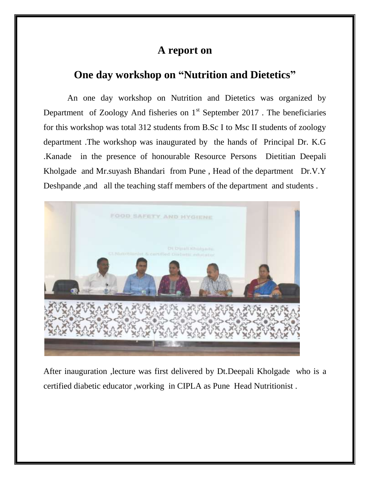## **A report on**

## **One day workshop on "Nutrition and Dietetics"**

An one day workshop on Nutrition and Dietetics was organized by Department of Zoology And fisheries on  $1<sup>st</sup>$  September 2017. The beneficiaries for this workshop was total 312 students from B.Sc I to Msc II students of zoology department .The workshop was inaugurated by the hands of Principal Dr. K.G .Kanade in the presence of honourable Resource Persons Dietitian Deepali Kholgade and Mr.suyash Bhandari from Pune , Head of the department Dr.V.Y Deshpande ,and all the teaching staff members of the department and students .



After inauguration ,lecture was first delivered by Dt.Deepali Kholgade who is a certified diabetic educator ,working in CIPLA as Pune Head Nutritionist .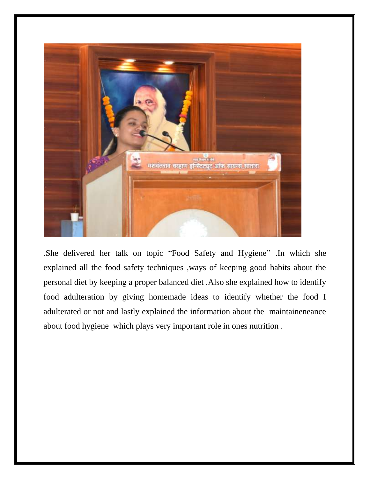

.She delivered her talk on topic "Food Safety and Hygiene" .In which she explained all the food safety techniques ,ways of keeping good habits about the personal diet by keeping a proper balanced diet .Also she explained how to identify food adulteration by giving homemade ideas to identify whether the food I adulterated or not and lastly explained the information about the maintaineneance about food hygiene which plays very important role in ones nutrition .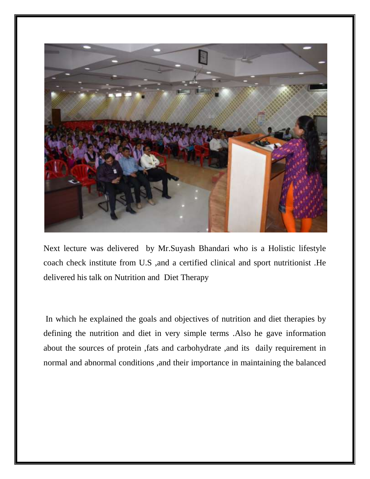

Next lecture was delivered by Mr.Suyash Bhandari who is a Holistic lifestyle coach check institute from U.S ,and a certified clinical and sport nutritionist .He delivered his talk on Nutrition and Diet Therapy

In which he explained the goals and objectives of nutrition and diet therapies by defining the nutrition and diet in very simple terms .Also he gave information about the sources of protein ,fats and carbohydrate ,and its daily requirement in normal and abnormal conditions ,and their importance in maintaining the balanced